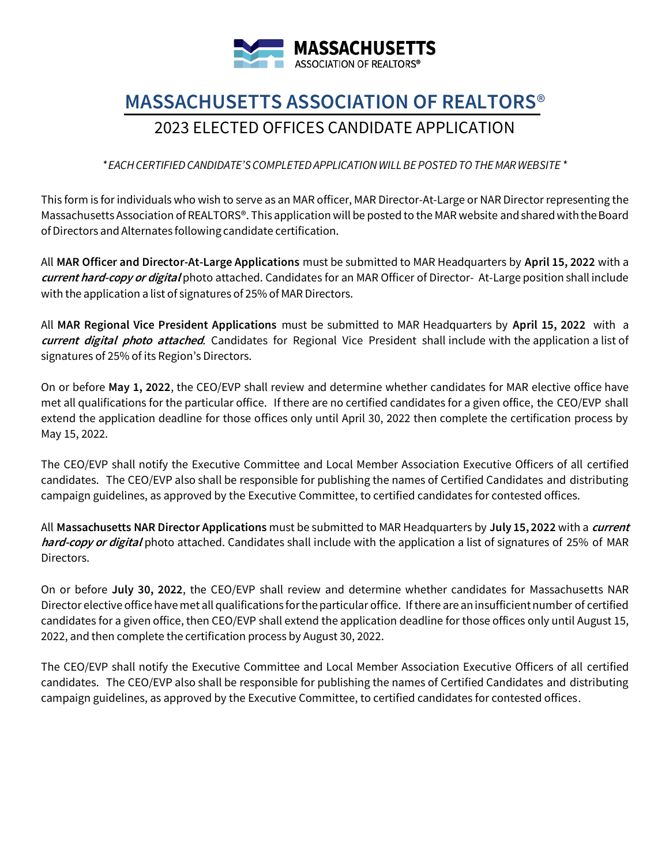

# **MASSACHUSETTS ASSOCIATION OF REALTORS**® 2023 ELECTED OFFICES CANDIDATE APPLICATION

*\*EACHCERTIFIEDCANDIDATE'SCOMPLETEDAPPLICATIONWILLBEPOSTEDTOTHEMARWEBSITE \**

This form is for individuals who wish to serve as an MAR officer, MAR Director-At-Large or NAR Director representing the Massachusetts Association of REALTORS®. This application will be posted to the MAR website and shared with the Board ofDirectors and Alternates following candidate certification.

All **MAR Officer and Director-At-Large Applications** must be submitted to MAR Headquarters by **April 15, 2022** with a **current hard-copy or digital** photo attached. Candidates for an MAR Officer of Director- At-Large position shall include with the application a list of signatures of 25% of MAR Directors.

All **MAR Regional Vice President Applications** must be submitted to MAR Headquarters by **April 15, 2022** with a **current digital photo attached**. Candidates for Regional Vice President shall include with the application a list of signatures of 25% of its Region's Directors.

On or before **May 1, 2022**, the CEO/EVP shall review and determine whether candidates for MAR elective office have met all qualifications for the particular office. If there are no certified candidates for a given office, the CEO/EVP shall extend the application deadline for those offices only until April 30, 2022 then complete the certification process by May 15, 2022.

The CEO/EVP shall notify the Executive Committee and Local Member Association Executive Officers of all certified candidates. The CEO/EVP also shall be responsible for publishing the names of Certified Candidates and distributing campaign guidelines, as approved by the Executive Committee, to certified candidates for contested offices.

All **Massachusetts NAR Director Applications** must be submitted to MAR Headquarters by **July 15, 2022** with a **current hard-copy or digital** photo attached. Candidates shall include with the application a list of signatures of 25% of MAR Directors.

On or before **July 30, 2022**, the CEO/EVP shall review and determine whether candidates for Massachusetts NAR Director elective office have met all qualifications for the particular office. If there are an insufficient number of certified candidates for a given office, then CEO/EVP shall extend the application deadline for those offices only until August 15, 2022, and then complete the certification process by August 30, 2022.

The CEO/EVP shall notify the Executive Committee and Local Member Association Executive Officers of all certified candidates. The CEO/EVP also shall be responsible for publishing the names of Certified Candidates and distributing campaign guidelines, as approved by the Executive Committee, to certified candidates for contested offices.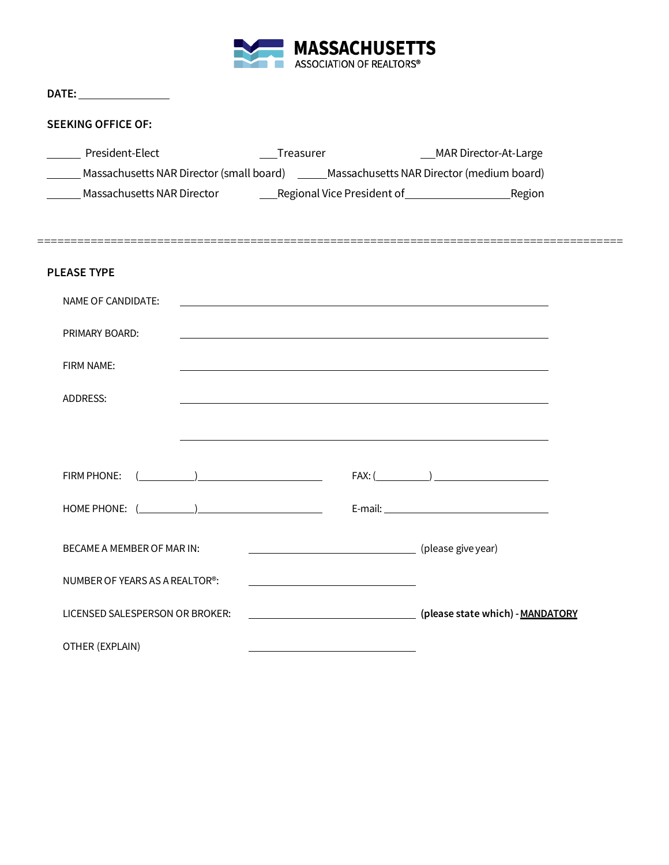

| DATE: the contract of the contract of the contract of the contract of the contract of the contract of the contract of the contract of the contract of the contract of the contract of the contract of the contract of the cont |                     |                 |  |
|--------------------------------------------------------------------------------------------------------------------------------------------------------------------------------------------------------------------------------|---------------------|-----------------|--|
| <b>SEEKING OFFICE OF:</b>                                                                                                                                                                                                      |                     |                 |  |
| President-Elect                                                                                                                                                                                                                |                     |                 |  |
| Massachusetts NAR Director (small board) ______Massachusetts NAR Director (medium board)                                                                                                                                       |                     |                 |  |
|                                                                                                                                                                                                                                |                     |                 |  |
|                                                                                                                                                                                                                                |                     |                 |  |
| <b>PLEASE TYPE</b>                                                                                                                                                                                                             |                     |                 |  |
| NAME OF CANDIDATE:                                                                                                                                                                                                             |                     |                 |  |
| PRIMARY BOARD:                                                                                                                                                                                                                 |                     |                 |  |
| FIRM NAME:                                                                                                                                                                                                                     |                     |                 |  |
| ADDRESS:                                                                                                                                                                                                                       |                     |                 |  |
|                                                                                                                                                                                                                                |                     |                 |  |
|                                                                                                                                                                                                                                |                     |                 |  |
|                                                                                                                                                                                                                                | $FIRM PHONE: ($ $)$ | $FAX: (\qquad)$ |  |
|                                                                                                                                                                                                                                |                     |                 |  |
| BECAME A MEMBER OF MAR IN:                                                                                                                                                                                                     |                     |                 |  |
| NUMBER OF YEARS AS A REALTOR <sup>®</sup> :                                                                                                                                                                                    |                     |                 |  |
| LICENSED SALESPERSON OR BROKER:                                                                                                                                                                                                |                     |                 |  |
| OTHER (EXPLAIN)                                                                                                                                                                                                                |                     |                 |  |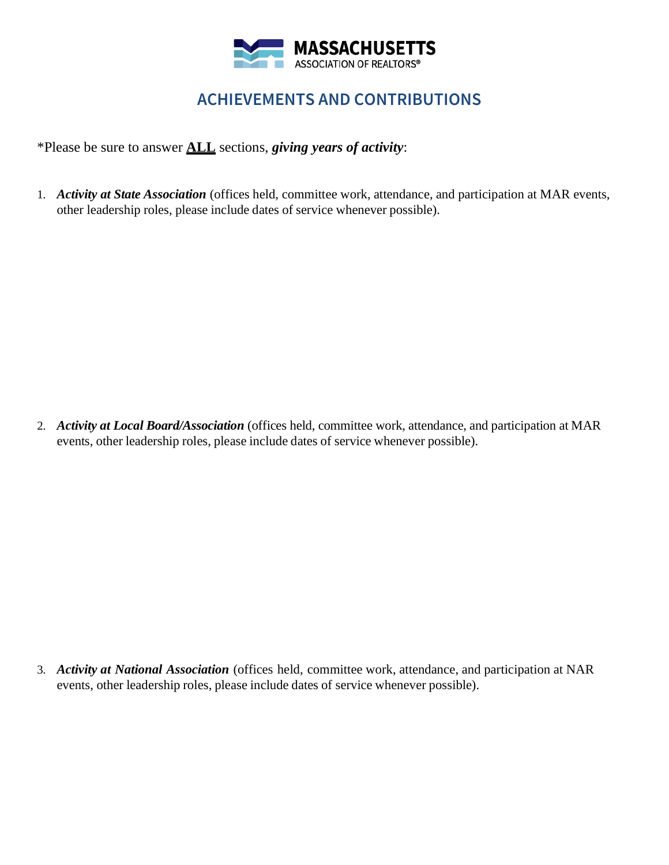

## **ACHIEVEMENTS AND CONTRIBUTIONS**

\*Please be sure to answer **ALL** sections, *giving years of activity*:

1. *Activity at State Association* (offices held, committee work, attendance, and participation at MAR events, other leadership roles, please include dates of service whenever possible).

2. *Activity at Local Board/Association* (offices held, committee work, attendance, and participation at MAR events, other leadership roles, please include dates of service whenever possible).

3. *Activity at National Association* (offices held, committee work, attendance, and participation at NAR events, other leadership roles, please include dates of service whenever possible).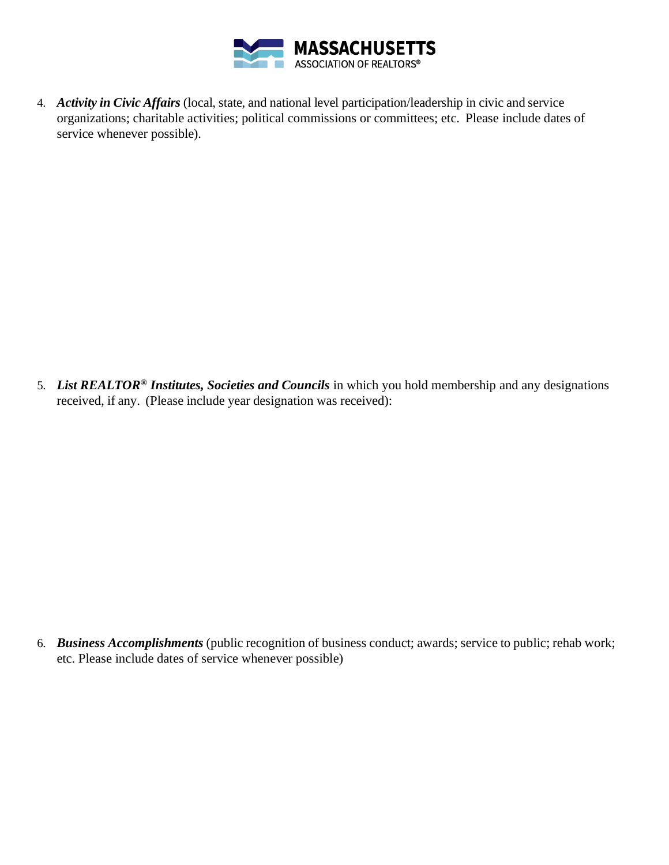

4. *Activity in Civic Affairs* (local, state, and national level participation/leadership in civic and service organizations; charitable activities; political commissions or committees; etc. Please include dates of service whenever possible).

5. *List REALTOR® Institutes, Societies and Councils* in which you hold membership and any designations received, if any. (Please include year designation was received):

6. *Business Accomplishments* (public recognition of business conduct; awards; service to public; rehab work; etc. Please include dates of service whenever possible)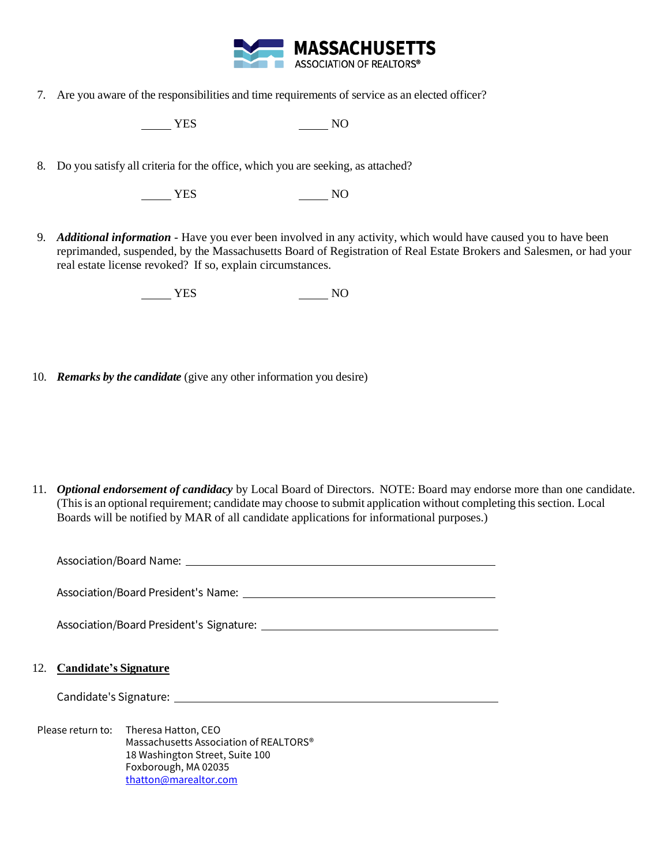

7. Are you aware of the responsibilities and time requirements of service as an elected officer?

NO<sub>N</sub> YES NO

8. Do you satisfy all criteria for the office, which you are seeking, as attached?

NO<sub>N</sub> YES NO

9. *Additional information* - Have you ever been involved in any activity, which would have caused you to have been reprimanded, suspended, by the Massachusetts Board of Registration of Real Estate Brokers and Salesmen, or had your real estate license revoked? If so, explain circumstances.

NO NES NO

10. *Remarks by the candidate* (give any other information you desire)

11. *Optional endorsement of candidacy* by Local Board of Directors. NOTE: Board may endorse more than one candidate. (Thisis an optional requirement; candidate may choose to submit application without completing this section. Local Boards will be notified by MAR of all candidate applications for informational purposes.)

Association/Board Name:

Association/Board President's Name:

Association/Board President's Signature:

#### 12. **Candidate's Signature**

Candidate's Signature:

Please return to: Theresa Hatton, CEO Massachusetts Association of REALTORS® 18 Washington Street, Suite 100 Foxborough, MA 02035 [thatton@marealtor.com](mailto:thatton@marealtor.com)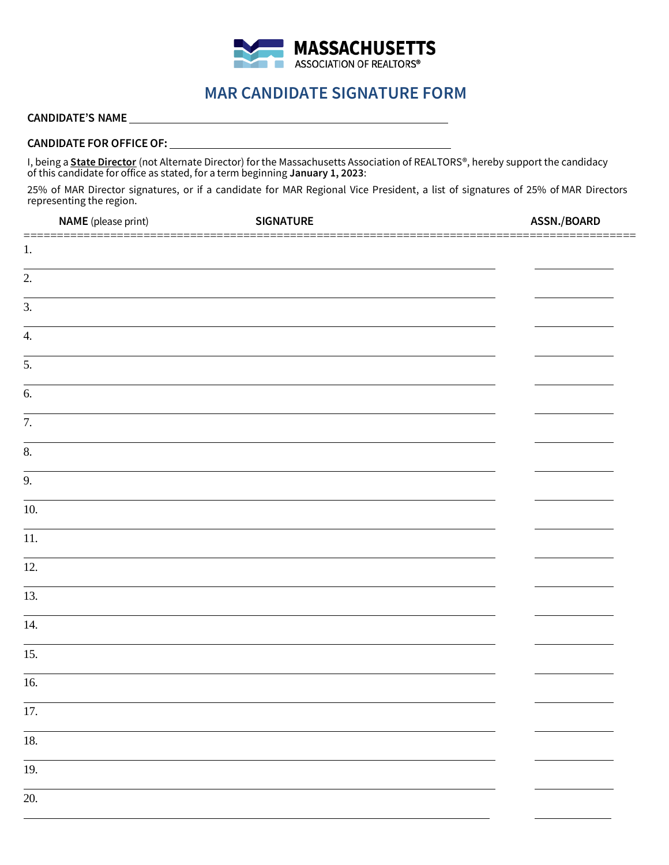

## **MAR CANDIDATE SIGNATURE FORM**

## **CANDIDATE'S NAME**

#### **CANDIDATE FOR OFFICEOF:**

I, being a **State Director** (not Alternate Director) for the Massachusetts Association of REALTORS®, hereby support the candidacy of this candidate for office as stated, for a term beginning **January 1, 2023**:

25% of MAR Director signatures, or if a candidate for MAR Regional Vice President, a list of signatures of 25% of MAR Directors representing the region.

| <b>NAME</b> (please print) | <b>SIGNATURE</b> | ASSN./BOARD |
|----------------------------|------------------|-------------|
| 1.                         |                  |             |
| 2.                         |                  |             |
| 3.                         |                  |             |
| 4.                         |                  |             |
| $\overline{5}$ .           |                  |             |
| 6.                         |                  |             |
| 7.                         |                  |             |
| $\overline{8}$ .           |                  |             |
| $\overline{9}$ .           |                  |             |
| 10.                        |                  |             |
| 11.                        |                  |             |
| 12.                        |                  |             |
| $\overline{13}$ .          |                  |             |
| 14.                        |                  |             |
| 15.                        |                  |             |
| 16.                        |                  |             |
| 17.                        |                  |             |
| 18.                        |                  |             |
| 19.                        |                  |             |
| $\overline{20}$ .          |                  |             |
|                            |                  |             |